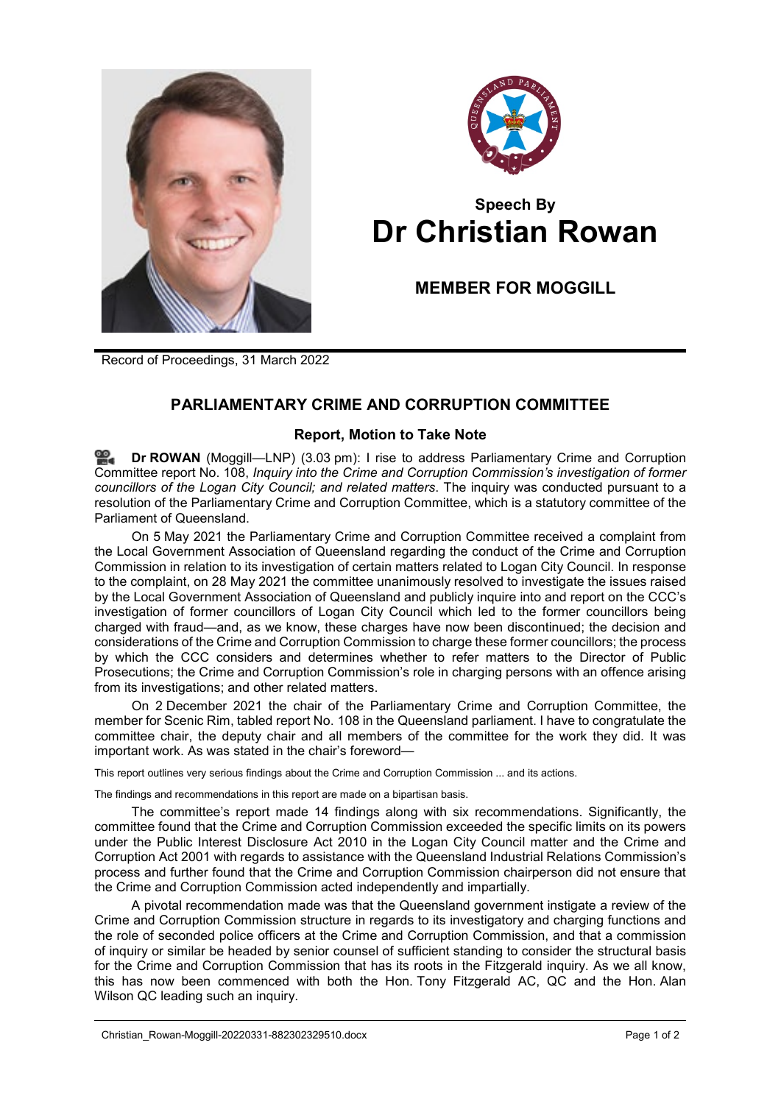



## **Speech By Dr Christian Rowan**

## **MEMBER FOR MOGGILL**

Record of Proceedings, 31 March 2022

## **PARLIAMENTARY CRIME AND CORRUPTION COMMITTEE**

## **Report, Motion to Take Note**

**Dr [ROWAN](http://www.parliament.qld.gov.au/docs/find.aspx?id=0Mba20220331_150337)** (Moggill—LNP) (3.03 pm): I rise to address Parliamentary Crime and Corruption Committee report No. 108, *Inquiry into the Crime and Corruption Commission's investigation of former councillors of the Logan City Council; and related matters*. The inquiry was conducted pursuant to a resolution of the Parliamentary Crime and Corruption Committee, which is a statutory committee of the Parliament of Queensland.

On 5 May 2021 the Parliamentary Crime and Corruption Committee received a complaint from the Local Government Association of Queensland regarding the conduct of the Crime and Corruption Commission in relation to its investigation of certain matters related to Logan City Council. In response to the complaint, on 28 May 2021 the committee unanimously resolved to investigate the issues raised by the Local Government Association of Queensland and publicly inquire into and report on the CCC's investigation of former councillors of Logan City Council which led to the former councillors being charged with fraud—and, as we know, these charges have now been discontinued; the decision and considerations of the Crime and Corruption Commission to charge these former councillors; the process by which the CCC considers and determines whether to refer matters to the Director of Public Prosecutions; the Crime and Corruption Commission's role in charging persons with an offence arising from its investigations; and other related matters.

On 2 December 2021 the chair of the Parliamentary Crime and Corruption Committee, the member for Scenic Rim, tabled report No. 108 in the Queensland parliament. I have to congratulate the committee chair, the deputy chair and all members of the committee for the work they did. It was important work. As was stated in the chair's foreword—

This report outlines very serious findings about the Crime and Corruption Commission ... and its actions.

The findings and recommendations in this report are made on a bipartisan basis.

The committee's report made 14 findings along with six recommendations. Significantly, the committee found that the Crime and Corruption Commission exceeded the specific limits on its powers under the Public Interest Disclosure Act 2010 in the Logan City Council matter and the Crime and Corruption Act 2001 with regards to assistance with the Queensland Industrial Relations Commission's process and further found that the Crime and Corruption Commission chairperson did not ensure that the Crime and Corruption Commission acted independently and impartially.

A pivotal recommendation made was that the Queensland government instigate a review of the Crime and Corruption Commission structure in regards to its investigatory and charging functions and the role of seconded police officers at the Crime and Corruption Commission, and that a commission of inquiry or similar be headed by senior counsel of sufficient standing to consider the structural basis for the Crime and Corruption Commission that has its roots in the Fitzgerald inquiry. As we all know, this has now been commenced with both the Hon. Tony Fitzgerald AC, QC and the Hon. Alan Wilson QC leading such an inquiry.